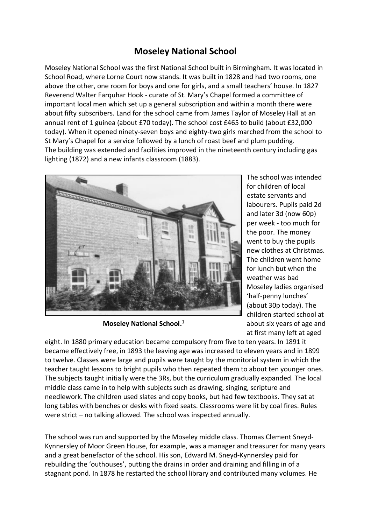## **Moseley National School**

Moseley National School was the first National School built in Birmingham. It was located in School Road, where Lorne Court now stands. It was built in 1828 and had two rooms, one above the other, one room for boys and one for girls, and a small teachers' house. In 1827 Reverend Walter Farquhar Hook - curate of St. Mary's Chapel formed a committee of important local men which set up a general subscription and within a month there were about fifty subscribers. Land for the school came from James Taylor of Moseley Hall at an annual rent of 1 guinea (about £70 today). The school cost £465 to build (about £32,000 today). When it opened ninety-seven boys and eighty-two girls marched from the school to St Mary's Chapel for a service followed by a lunch of roast beef and plum pudding. The building was extended and facilities improved in the nineteenth century including gas lighting (1872) and a new infants classroom (1883).



**Moseley National School. 1**

The school was intended for children of local estate servants and labourers. Pupils paid 2d and later 3d (now 60p) per week - too much for the poor. The money went to buy the pupils new clothes at Christmas. The children went home for lunch but when the weather was bad Moseley ladies organised 'half-penny lunches' (about 30p today). The children started school at about six years of age and at first many left at aged

eight. In 1880 primary education became compulsory from five to ten years. In 1891 it became effectively free, in 1893 the leaving age was increased to eleven years and in 1899 to twelve. Classes were large and pupils were taught by the monitorial system in which the teacher taught lessons to bright pupils who then repeated them to about ten younger ones. The subjects taught initially were the 3Rs, but the curriculum gradually expanded. The local middle class came in to help with subjects such as drawing, singing, scripture and needlework. The children used slates and copy books, but had few textbooks. They sat at long tables with benches or desks with fixed seats. Classrooms were lit by coal fires. Rules were strict – no talking allowed. The school was inspected annually.

The school was run and supported by the Moseley middle class. Thomas Clement Sneyd-Kynnersley of Moor Green House, for example, was a manager and treasurer for many years and a great benefactor of the school. His son, Edward M. Sneyd-Kynnersley paid for rebuilding the 'outhouses', putting the drains in order and draining and filling in of a stagnant pond. In 1878 he restarted the school library and contributed many volumes. He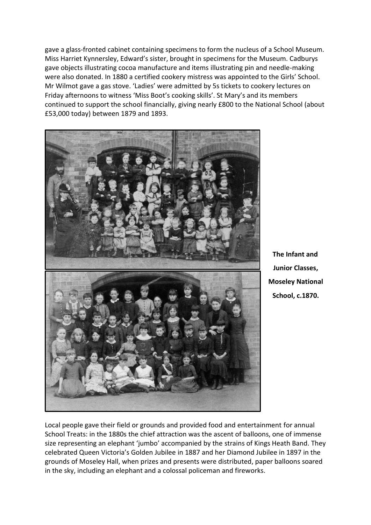gave a glass-fronted cabinet containing specimens to form the nucleus of a School Museum. Miss Harriet Kynnersley, Edward's sister, brought in specimens for the Museum. Cadburys gave objects illustrating cocoa manufacture and items illustrating pin and needle-making were also donated. In 1880 a certified cookery mistress was appointed to the Girls' School. Mr Wilmot gave a gas stove. 'Ladies' were admitted by 5s tickets to cookery lectures on Friday afternoons to witness 'Miss Boot's cooking skills'. St Mary's and its members continued to support the school financially, giving nearly £800 to the National School (about £53,000 today) between 1879 and 1893.



**The Infant and Junior Classes, Moseley National School, c.1870.**

Local people gave their field or grounds and provided food and entertainment for annual School Treats: in the 1880s the chief attraction was the ascent of balloons, one of immense size representing an elephant 'jumbo' accompanied by the strains of Kings Heath Band. They celebrated Queen Victoria's Golden Jubilee in 1887 and her Diamond Jubilee in 1897 in the grounds of Moseley Hall, when prizes and presents were distributed, paper balloons soared in the sky, including an elephant and a colossal policeman and fireworks.